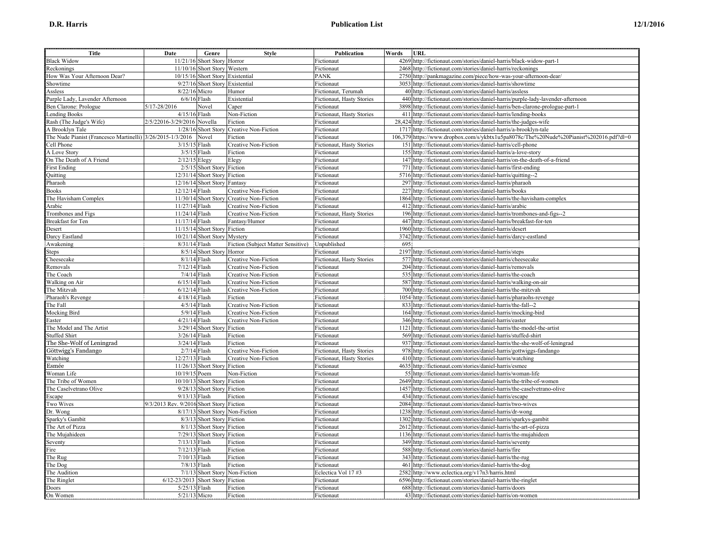| Title                                                      | Date                                     | Genre                            | <b>Style</b>                           | Publication               | Words | <b>URL</b>                                                                             |
|------------------------------------------------------------|------------------------------------------|----------------------------------|----------------------------------------|---------------------------|-------|----------------------------------------------------------------------------------------|
| <b>Black Widow</b>                                         |                                          | 11/21/16 Short Story Horror      |                                        | Fictionaut                |       | 4269 http://fictionaut.com/stories/daniel-harris/black-widow-part-1                    |
| Reckonings                                                 |                                          | 11/10/16 Short Story Western     |                                        | Fictionaut                |       | 2468 http://fictionaut.com/stories/daniel-harris/reckonings                            |
| How Was Your Afternoon Dear?                               |                                          | 10/15/16 Short Story Existential |                                        | <b>PANK</b>               |       | 2750 http://pankmagazine.com/piece/how-was-your-afternoon-dear/                        |
| Showtime                                                   |                                          | 9/27/16 Short Story Existential  |                                        | Fictionaut                |       | 3053 http://fictionaut.com/stories/daniel-harris/showtime                              |
| Assless                                                    | 8/22/16                                  | Micro                            | Humor                                  | Fictionaut, Terumah       |       | 40 http://fictionaut.com/stories/daniel-harris/assless                                 |
| Purple Lady, Lavender Afternoon                            | $6/6/16$ Flash                           |                                  | Existential                            | Fictionaut, Hasty Stories |       | 440 http://fictionaut.com/stories/daniel-harris/purple-lady-lavender-afternoon         |
| Ben Clarone: Prologue                                      | 5/17-28/2016                             | Novel                            | Caper                                  | Fictionaut                |       | 3898 http://fictionaut.com/stories/daniel-harris/ben-clarone-prologue-part-1           |
| Lending Books                                              | 4/15/16 Flash                            |                                  | Non-Fiction                            | Fictionaut, Hasty Stories |       | 411 http://fictionaut.com/stories/daniel-harris/lending-books                          |
| Rash (The Judge's Wife)                                    | 2/5/22016-3/29/2016                      |                                  |                                        |                           |       |                                                                                        |
| A Brooklyn Tale                                            |                                          | Novella                          | Fiction<br><b>Creative Non-Fiction</b> | Fictionaut                |       | 28,424 http://fictionaut.com/stories/daniel-harris/the-judges-wife                     |
| The Nude Pianist (Francesco Martinelli) 3/26/2015-1/3/2016 |                                          | 1/28/16 Short Story              |                                        | Fictionaut                |       | 1717 http://fictionaut.com/stories/daniel-harris/a-brooklyn-tale                       |
| Cell Phone                                                 |                                          | Novel                            | Fiction                                | Fictionaut                |       | 106,379 https://www.dropbox.com/s/ykbtx1u5pa8078c/The%20Nude%20Pianist%202016.pdf?dl=0 |
|                                                            | 3/15/15<br>3/5/15 Flash                  | Flash                            | Creative Non-Fiction<br>Fiction        | Fictionaut, Hasty Stories |       | 151 http://fictionaut.com/stories/daniel-harris/cell-phone                             |
| A Love Story                                               |                                          |                                  |                                        | Fictionaut                |       | 155 http://fictionaut.com/stories/daniel-harris/a-love-story                           |
| On The Death of A Friend                                   | 2/12/15 Elegy                            |                                  | Elegy                                  | Fictionaut                |       | 147 http://fictionaut.com/stories/daniel-harris/on-the-death-of-a-friend               |
| <b>First Ending</b>                                        |                                          | 2/5/15 Short Story Fiction       |                                        | Fictionaut                |       | 771 http://fictionaut.com/stories/daniel-harris/first-ending                           |
| Quitting                                                   |                                          | 12/31/14 Short Story             | Fiction                                | Fictionaut                |       | 5716 http://fictionaut.com/stories/daniel-harris/quitting--2                           |
| Pharaoh                                                    |                                          | 12/16/14 Short Story Fantasy     |                                        | Fictionaut                |       | 297 http://fictionaut.com/stories/daniel-harris/pharaoh                                |
| <b>Books</b>                                               | 12/12/14                                 | Flash                            | Creative Non-Fiction                   | Fictionaut                |       | 227 http://fictionaut.com/stories/daniel-harris/books                                  |
| The Havisham Complex                                       |                                          | 11/30/14 Short Story             | Creative Non-Fiction                   | Fictionaut                |       | 1864 http://fictionaut.com/stories/daniel-harris/the-havisham-complex                  |
| Arabic                                                     | 11/27/14                                 | Flash                            | <b>Creative Non-Fiction</b>            | Fictionaut                |       | 412 http://fictionaut.com/stories/daniel-harris/arabic                                 |
| Trombones and Figs                                         | 11/24/14 Flash                           |                                  | Creative Non-Fiction                   | Fictionaut, Hasty Stories |       | 196 http://fictionaut.com/stories/daniel-harris/trombones-and-figs--2                  |
| Breakfast for Ten                                          | 11/17/14 Flash                           |                                  | Fantasy/Humor                          | Fictionaut                |       | 447 http://fictionaut.com/stories/daniel-harris/breakfast-for-ten                      |
| Desert                                                     |                                          | 11/15/14 Short Story Fiction     |                                        | Fictionaut                |       | 1960 http://fictionaut.com/stories/daniel-harris/desert                                |
| Darcy Eastland                                             |                                          | 10/21/14 Short Story Mystery     |                                        | Fictionaut                |       | 3742 http://fictionaut.com/stories/daniel-harris/darcy-eastland                        |
| Awakening                                                  | 8/31/14 Flash                            |                                  | Fiction (Subject Matter Sensitive)     | Unpublished               | 695   |                                                                                        |
| Steps                                                      | 8/5/14                                   | Short Story Horror               |                                        | Fictionaut                |       | 2197 http://fictionaut.com/stories/daniel-harris/steps                                 |
| Cheesecake                                                 | $8/1/14$ Flash                           |                                  | Creative Non-Fiction                   | Fictionaut, Hasty Stories |       | 577 http://fictionaut.com/stories/daniel-harris/cheesecake                             |
| Removals                                                   | 7/12/14 Flash                            |                                  | <b>Creative Non-Fiction</b>            | Fictionaut                |       | 204 http://fictionaut.com/stories/daniel-harris/removals                               |
| The Coach                                                  | 7/4/14 Flash                             |                                  | Creative Non-Fiction                   | Fictionaut                |       | 535 http://fictionaut.com/stories/daniel-harris/the-coach                              |
| Walking on Air                                             | 6/15/14 Flash                            |                                  | <b>Creative Non-Fiction</b>            | Fictionaut                |       | 587 http://fictionaut.com/stories/daniel-harris/walking-on-air                         |
| The Mitzvah                                                | $6/12/14$ Flash                          |                                  | <b>Creative Non-Fiction</b>            | Fictionaut                |       | 700 http://fictionaut.com/stories/daniel-harris/the-mitzvah                            |
| Pharaoh's Revenge                                          | 4/18/14 Flash                            |                                  | Fiction                                | Fictionaut                |       | 1054 http://fictionaut.com/stories/daniel-harris/pharaohs-revenge                      |
| The Fall                                                   | $4/5/14$ Flash                           |                                  | Creative Non-Fiction                   | Fictionaut                |       | 833 http://fictionaut.com/stories/daniel-harris/the-fall--2                            |
| Mocking Bird                                               | 5/9/14 Flash                             |                                  | Creative Non-Fiction                   | Fictionaut                |       | 164 http://fictionaut.com/stories/daniel-harris/mocking-bird                           |
| Easter                                                     | 4/21/14 Flash                            |                                  | <b>Creative Non-Fiction</b>            | Fictionaut                |       | 346 http://fictionaut.com/stories/daniel-harris/easter                                 |
| The Model and The Artist                                   |                                          | 3/29/14 Short Story Fiction      |                                        | Fictionaut                |       | 1121 http://fictionaut.com/stories/daniel-harris/the-model-the-artist                  |
| Stuffed Shirt                                              | 3/26/14                                  | Flash                            | Fiction                                | Fictionaut                |       | 569 http://fictionaut.com/stories/daniel-harris/stuffed-shirt                          |
| The She-Wolf of Leningrad                                  | 3/24/14 Flash                            |                                  | Fiction                                | Fictionaut                |       | 937 http://fictionaut.com/stories/daniel-harris/the-she-wolf-of-leningrad              |
| Göttwigg's Fandango                                        | 2/7/14                                   | Flash                            | <b>Creative Non-Fiction</b>            | Fictionaut, Hasty Stories |       | 978 http://fictionaut.com/stories/daniel-harris/gottwiggs-fandango                     |
| Watching                                                   | 12/27/13 Flash                           |                                  | <b>Creative Non-Fiction</b>            | Fictionaut, Hasty Stories |       | 410 http://fictionaut.com/stories/daniel-harris/watching                               |
| Esmée                                                      | 11/26/13                                 | Short Story                      | Fiction                                | Fictionaut                |       | 4635 http://fictionaut.com/stories/daniel-harris/esmee                                 |
| Woman Life                                                 | 10/19/15 Poem                            |                                  | Non-Fiction                            | Fictionaut                |       | 55 http://fictionaut.com/stories/daniel-harris/woman-life                              |
| The Tribe of Women                                         | 10/10/13                                 | <b>Short Story</b>               | Fiction                                | Fictionaut                |       | 2649 http://fictionaut.com/stories/daniel-harris/the-tribe-of-women                    |
| The Caselvetrano Olive                                     |                                          | 9/28/13 Short Story Fiction      |                                        | Fictionaut                |       | 1457 http://fictionaut.com/stories/daniel-harris/the-caselvetrano-olive                |
| Escape                                                     | 9/13/13                                  | Flash                            | Fiction                                | Fictionaut                |       | 434 http://fictionaut.com/stories/daniel-harris/escape                                 |
| Two Wives                                                  | 9/3/2013 Rev. 9/2016 Short Story Fiction |                                  |                                        | Fictionaut                |       | 2084 http://fictionaut.com/stories/daniel-harris/two-wives                             |
| Dr. Wong                                                   | 8/17/13                                  |                                  | Short Story Non-Fiction                | Fictionaut                |       | 1238 http://fictionaut.com/stories/daniel-harris/dr-wong                               |
| Sparky's Gambit                                            | 8/3/13                                   | Short Story Fiction              |                                        | Fictionaut                |       | 1302 http://fictionaut.com/stories/daniel-harris/sparkys-gambit                        |
| The Art of Pizza                                           |                                          | 8/1/13 Short Story Fiction       |                                        | Fictionaut                |       | 2612 http://fictionaut.com/stories/daniel-harris/the-art-of-pizza                      |
| The Mujahideen                                             |                                          | 7/29/13 Short Story              | Fiction                                | Fictionaut                |       | 1136 http://fictionaut.com/stories/daniel-harris/the-mujahideen                        |
| Seventy                                                    | 7/13/13                                  | Flash                            | Fiction                                | Fictionaut                |       | 349 http://fictionaut.com/stories/daniel-harris/seventy                                |
| Fire                                                       | 7/12/13 Flash                            |                                  | Fiction                                | Fictionaut                |       | 588 http://fictionaut.com/stories/daniel-harris/fire                                   |
| The Rug                                                    | 7/10/13 Flash                            |                                  | Fiction                                | Fictionaut                |       | 343 http://fictionaut.com/stories/daniel-harris/the-rug                                |
| The Dog                                                    | 7/8/13                                   | Flash                            | Fiction                                | Fictionaut                |       | 461 http://fictionaut.com/stories/daniel-harris/the-dog                                |
| The Audition                                               |                                          |                                  | 7/1/13 Short Story Non-Fiction         | Eclectica Vol 17#3        |       | 2582 http://www.eclectica.org/v17n3/harris.html                                        |
| The Ringlet                                                | $6/12 - 23/2013$                         | Short Story Fiction              |                                        | Fictionaut                |       | 6596 http://fictionaut.com/stories/daniel-harris/the-ringlet                           |
| Doors                                                      | 5/25/13 Flash                            |                                  | Fiction                                | Fictionaut                |       | 688 http://fictionaut.com/stories/daniel-harris/doors                                  |
| On Women                                                   | 5/21/13 Micro                            |                                  | Fiction                                |                           |       | 43 http://fictionaut.com/stories/daniel-harris/on-women                                |
|                                                            |                                          |                                  |                                        | Fictionaut                |       |                                                                                        |